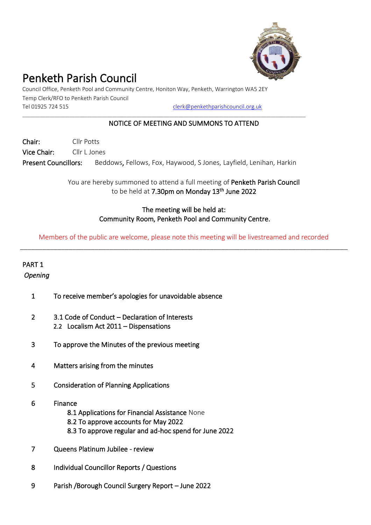

# Penketh Parish Council

Council Office, Penketh Pool and Community Centre, Honiton Way, Penketh, Warrington WA5 2EY Temp Clerk/RFO to Penketh Parish Council Tel 01925 724 515 [clerk@penkethparishcouncil.org.uk](mailto:clerk@penkethparishcouncil.org.uk)

## \_\_\_\_\_\_\_\_\_\_\_\_\_\_\_\_\_\_\_\_\_\_\_\_\_\_\_\_\_\_\_\_\_\_\_\_\_\_\_\_\_\_\_\_\_\_\_\_\_\_\_\_\_\_\_\_\_\_\_\_\_\_\_\_\_\_\_\_\_\_\_\_\_\_\_\_\_\_\_\_\_\_\_\_\_\_\_\_\_\_\_\_\_\_\_\_\_\_\_\_\_\_\_\_\_\_\_\_\_\_\_\_\_\_

### NOTICE OF MEETING AND SUMMONS TO ATTEND

Chair: Cllr Potts Vice Chair: Cllr L Jones

Present Councillors: Beddows, Fellows, Fox, Haywood, S Jones, Layfield, Lenihan, Harkin

You are hereby summoned to attend a full meeting of Penketh Parish Council to be held at 7.30pm on Monday 13<sup>th</sup> June 2022

# The meeting will be held at: Community Room, Penketh Pool and Community Centre.

Members of the public are welcome, please note this meeting will be livestreamed and recorded \_\_\_\_\_\_\_\_\_\_\_\_\_\_\_\_\_\_\_\_\_\_\_\_\_\_\_\_\_\_\_\_\_\_\_\_\_\_\_\_\_\_\_\_\_\_\_\_\_\_\_\_\_\_\_\_\_\_\_\_\_\_\_\_\_\_\_\_\_\_\_\_\_\_\_\_\_\_\_\_\_\_\_\_\_\_\_\_

# PART 1 *Opening*

- - 1 To receive member's apologies for unavoidable absence
	- 2 3.1 Code of Conduct Declaration of Interests 2.2 Localism Act 2011 – Dispensations
	- 3 To approve the Minutes of the previous meeting
	- 4 Matters arising from the minutes
	- 5 Consideration of Planning Applications
	- 6 Finance
		- 8.1 Applications for Financial Assistance None
		- 8.2 To approve accounts for May 2022
		- 8.3 To approve regular and ad-hoc spend for June 2022
	- 7 Queens Platinum Jubilee review
	- 8 Individual Councillor Reports / Questions
	- 9 Parish /Borough Council Surgery Report June 2022